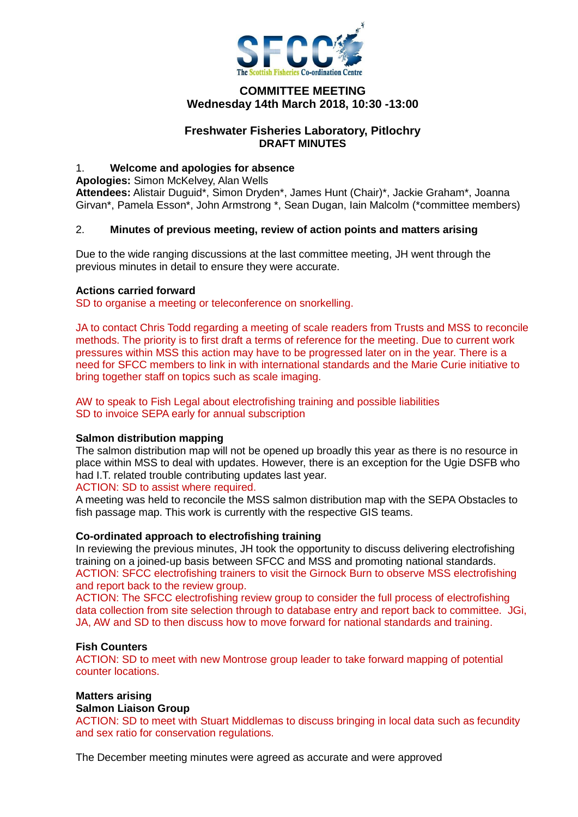

# **COMMITTEE MEETING Wednesday 14th March 2018, 10:30 -13:00**

## **Freshwater Fisheries Laboratory, Pitlochry DRAFT MINUTES**

#### 1. **Welcome and apologies for absence**

**Apologies:** Simon McKelvey, Alan Wells

**Attendees:** Alistair Duguid\*, Simon Dryden\*, James Hunt (Chair)\*, Jackie Graham\*, Joanna Girvan\*, Pamela Esson\*, John Armstrong \*, Sean Dugan, Iain Malcolm (\*committee members)

## 2. **Minutes of previous meeting, review of action points and matters arising**

Due to the wide ranging discussions at the last committee meeting, JH went through the previous minutes in detail to ensure they were accurate.

#### **Actions carried forward**

SD to organise a meeting or teleconference on snorkelling.

JA to contact Chris Todd regarding a meeting of scale readers from Trusts and MSS to reconcile methods. The priority is to first draft a terms of reference for the meeting. Due to current work pressures within MSS this action may have to be progressed later on in the year. There is a need for SFCC members to link in with international standards and the Marie Curie initiative to bring together staff on topics such as scale imaging.

AW to speak to Fish Legal about electrofishing training and possible liabilities SD to invoice SEPA early for annual subscription

## **Salmon distribution mapping**

The salmon distribution map will not be opened up broadly this year as there is no resource in place within MSS to deal with updates. However, there is an exception for the Ugie DSFB who had I.T. related trouble contributing updates last year.

ACTION: SD to assist where required.

A meeting was held to reconcile the MSS salmon distribution map with the SEPA Obstacles to fish passage map. This work is currently with the respective GIS teams.

## **Co-ordinated approach to electrofishing training**

In reviewing the previous minutes, JH took the opportunity to discuss delivering electrofishing training on a joined-up basis between SFCC and MSS and promoting national standards. ACTION: SFCC electrofishing trainers to visit the Girnock Burn to observe MSS electrofishing and report back to the review group.

ACTION: The SFCC electrofishing review group to consider the full process of electrofishing data collection from site selection through to database entry and report back to committee. JGi, JA, AW and SD to then discuss how to move forward for national standards and training.

#### **Fish Counters**

ACTION: SD to meet with new Montrose group leader to take forward mapping of potential counter locations.

# **Matters arising**

#### **Salmon Liaison Group**

ACTION: SD to meet with Stuart Middlemas to discuss bringing in local data such as fecundity and sex ratio for conservation regulations.

The December meeting minutes were agreed as accurate and were approved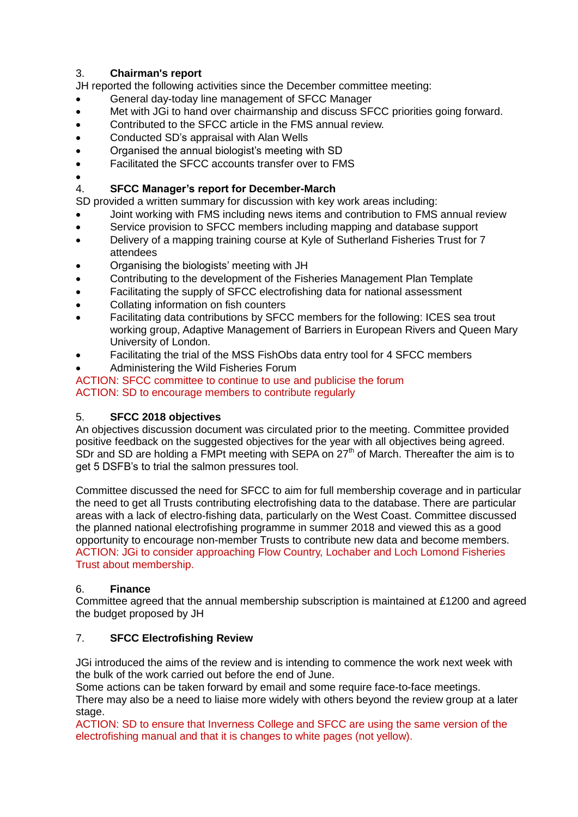# 3. **Chairman's report**

JH reported the following activities since the December committee meeting:

- General day-today line management of SFCC Manager
- Met with JGi to hand over chairmanship and discuss SFCC priorities going forward.
- Contributed to the SFCC article in the FMS annual review.
- Conducted SD's appraisal with Alan Wells
- Organised the annual biologist's meeting with SD
- Facilitated the SFCC accounts transfer over to FMS
- $\bullet$

# 4. **SFCC Manager's report for December-March**

SD provided a written summary for discussion with key work areas including:

- Joint working with FMS including news items and contribution to FMS annual review
- Service provision to SFCC members including mapping and database support
- Delivery of a mapping training course at Kyle of Sutherland Fisheries Trust for 7 attendees
- Organising the biologists' meeting with JH
- Contributing to the development of the Fisheries Management Plan Template
- Facilitating the supply of SFCC electrofishing data for national assessment
- Collating information on fish counters
- Facilitating data contributions by SFCC members for the following: ICES sea trout working group, Adaptive Management of Barriers in European Rivers and Queen Mary University of London.
- Facilitating the trial of the MSS FishObs data entry tool for 4 SFCC members
- Administering the Wild Fisheries Forum

ACTION: SFCC committee to continue to use and publicise the forum ACTION: SD to encourage members to contribute regularly

# 5. **SFCC 2018 objectives**

An objectives discussion document was circulated prior to the meeting. Committee provided positive feedback on the suggested objectives for the year with all objectives being agreed. SDr and SD are holding a FMPt meeting with SEPA on 27<sup>th</sup> of March. Thereafter the aim is to get 5 DSFB's to trial the salmon pressures tool.

Committee discussed the need for SFCC to aim for full membership coverage and in particular the need to get all Trusts contributing electrofishing data to the database. There are particular areas with a lack of electro-fishing data, particularly on the West Coast. Committee discussed the planned national electrofishing programme in summer 2018 and viewed this as a good opportunity to encourage non-member Trusts to contribute new data and become members. ACTION: JGi to consider approaching Flow Country, Lochaber and Loch Lomond Fisheries Trust about membership.

# 6. **Finance**

Committee agreed that the annual membership subscription is maintained at £1200 and agreed the budget proposed by JH

# 7. **SFCC Electrofishing Review**

JGi introduced the aims of the review and is intending to commence the work next week with the bulk of the work carried out before the end of June.

Some actions can be taken forward by email and some require face-to-face meetings.

There may also be a need to liaise more widely with others beyond the review group at a later stage.

ACTION: SD to ensure that Inverness College and SFCC are using the same version of the electrofishing manual and that it is changes to white pages (not yellow).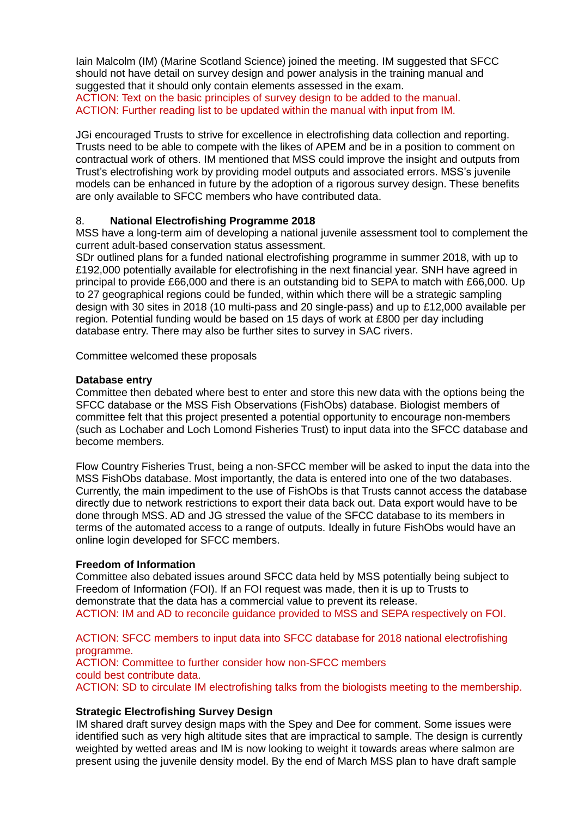Iain Malcolm (IM) (Marine Scotland Science) joined the meeting. IM suggested that SFCC should not have detail on survey design and power analysis in the training manual and suggested that it should only contain elements assessed in the exam. ACTION: Text on the basic principles of survey design to be added to the manual. ACTION: Further reading list to be updated within the manual with input from IM.

JGi encouraged Trusts to strive for excellence in electrofishing data collection and reporting. Trusts need to be able to compete with the likes of APEM and be in a position to comment on contractual work of others. IM mentioned that MSS could improve the insight and outputs from Trust's electrofishing work by providing model outputs and associated errors. MSS's juvenile models can be enhanced in future by the adoption of a rigorous survey design. These benefits are only available to SFCC members who have contributed data.

## 8. **National Electrofishing Programme 2018**

MSS have a long-term aim of developing a national juvenile assessment tool to complement the current adult-based conservation status assessment.

SDr outlined plans for a funded national electrofishing programme in summer 2018, with up to £192,000 potentially available for electrofishing in the next financial year. SNH have agreed in principal to provide £66,000 and there is an outstanding bid to SEPA to match with £66,000. Up to 27 geographical regions could be funded, within which there will be a strategic sampling design with 30 sites in 2018 (10 multi-pass and 20 single-pass) and up to £12,000 available per region. Potential funding would be based on 15 days of work at £800 per day including database entry. There may also be further sites to survey in SAC rivers.

Committee welcomed these proposals

#### **Database entry**

Committee then debated where best to enter and store this new data with the options being the SFCC database or the MSS Fish Observations (FishObs) database. Biologist members of committee felt that this project presented a potential opportunity to encourage non-members (such as Lochaber and Loch Lomond Fisheries Trust) to input data into the SFCC database and become members.

Flow Country Fisheries Trust, being a non-SFCC member will be asked to input the data into the MSS FishObs database. Most importantly, the data is entered into one of the two databases. Currently, the main impediment to the use of FishObs is that Trusts cannot access the database directly due to network restrictions to export their data back out. Data export would have to be done through MSS. AD and JG stressed the value of the SFCC database to its members in terms of the automated access to a range of outputs. Ideally in future FishObs would have an online login developed for SFCC members.

## **Freedom of Information**

Committee also debated issues around SFCC data held by MSS potentially being subject to Freedom of Information (FOI). If an FOI request was made, then it is up to Trusts to demonstrate that the data has a commercial value to prevent its release. ACTION: IM and AD to reconcile guidance provided to MSS and SEPA respectively on FOI.

ACTION: SFCC members to input data into SFCC database for 2018 national electrofishing programme. ACTION: Committee to further consider how non-SFCC members could best contribute data. ACTION: SD to circulate IM electrofishing talks from the biologists meeting to the membership.

## **Strategic Electrofishing Survey Design**

IM shared draft survey design maps with the Spey and Dee for comment. Some issues were identified such as very high altitude sites that are impractical to sample. The design is currently weighted by wetted areas and IM is now looking to weight it towards areas where salmon are present using the juvenile density model. By the end of March MSS plan to have draft sample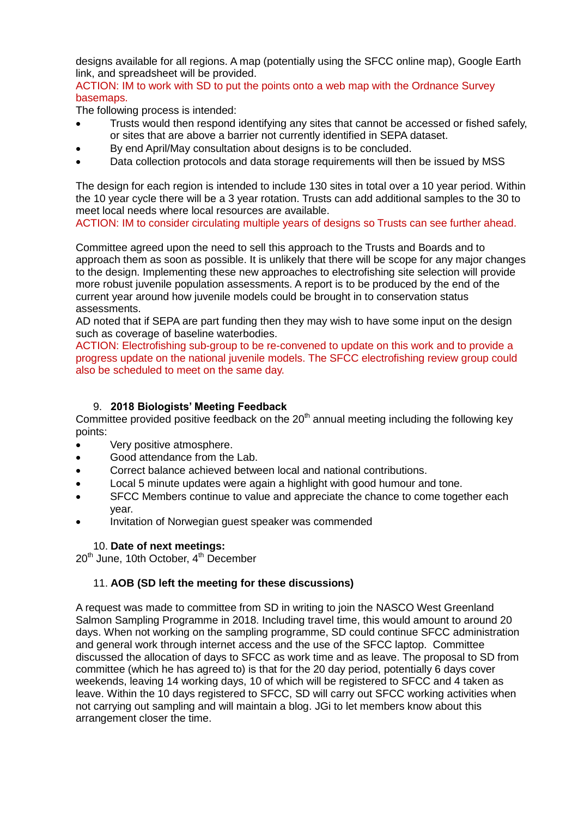designs available for all regions. A map (potentially using the SFCC online map), Google Earth link, and spreadsheet will be provided.

ACTION: IM to work with SD to put the points onto a web map with the Ordnance Survey basemaps.

The following process is intended:

- Trusts would then respond identifying any sites that cannot be accessed or fished safely, or sites that are above a barrier not currently identified in SEPA dataset.
- By end April/May consultation about designs is to be concluded.
- Data collection protocols and data storage requirements will then be issued by MSS

The design for each region is intended to include 130 sites in total over a 10 year period. Within the 10 year cycle there will be a 3 year rotation. Trusts can add additional samples to the 30 to meet local needs where local resources are available.

ACTION: IM to consider circulating multiple years of designs so Trusts can see further ahead.

Committee agreed upon the need to sell this approach to the Trusts and Boards and to approach them as soon as possible. It is unlikely that there will be scope for any major changes to the design. Implementing these new approaches to electrofishing site selection will provide more robust juvenile population assessments. A report is to be produced by the end of the current year around how juvenile models could be brought in to conservation status assessments.

AD noted that if SEPA are part funding then they may wish to have some input on the design such as coverage of baseline waterbodies.

ACTION: Electrofishing sub-group to be re-convened to update on this work and to provide a progress update on the national juvenile models. The SFCC electrofishing review group could also be scheduled to meet on the same day.

## 9. **2018 Biologists' Meeting Feedback**

Committee provided positive feedback on the  $20<sup>th</sup>$  annual meeting including the following key points:

- Very positive atmosphere.
- Good attendance from the Lab.
- Correct balance achieved between local and national contributions.
- Local 5 minute updates were again a highlight with good humour and tone.
- SFCC Members continue to value and appreciate the chance to come together each year.
- Invitation of Norwegian guest speaker was commended

## 10. **Date of next meetings:**

20<sup>th</sup> June, 10th October, 4<sup>th</sup> December

## 11. **AOB (SD left the meeting for these discussions)**

A request was made to committee from SD in writing to join the NASCO West Greenland Salmon Sampling Programme in 2018. Including travel time, this would amount to around 20 days. When not working on the sampling programme, SD could continue SFCC administration and general work through internet access and the use of the SFCC laptop. Committee discussed the allocation of days to SFCC as work time and as leave. The proposal to SD from committee (which he has agreed to) is that for the 20 day period, potentially 6 days cover weekends, leaving 14 working days, 10 of which will be registered to SFCC and 4 taken as leave. Within the 10 days registered to SFCC, SD will carry out SFCC working activities when not carrying out sampling and will maintain a blog. JGi to let members know about this arrangement closer the time.